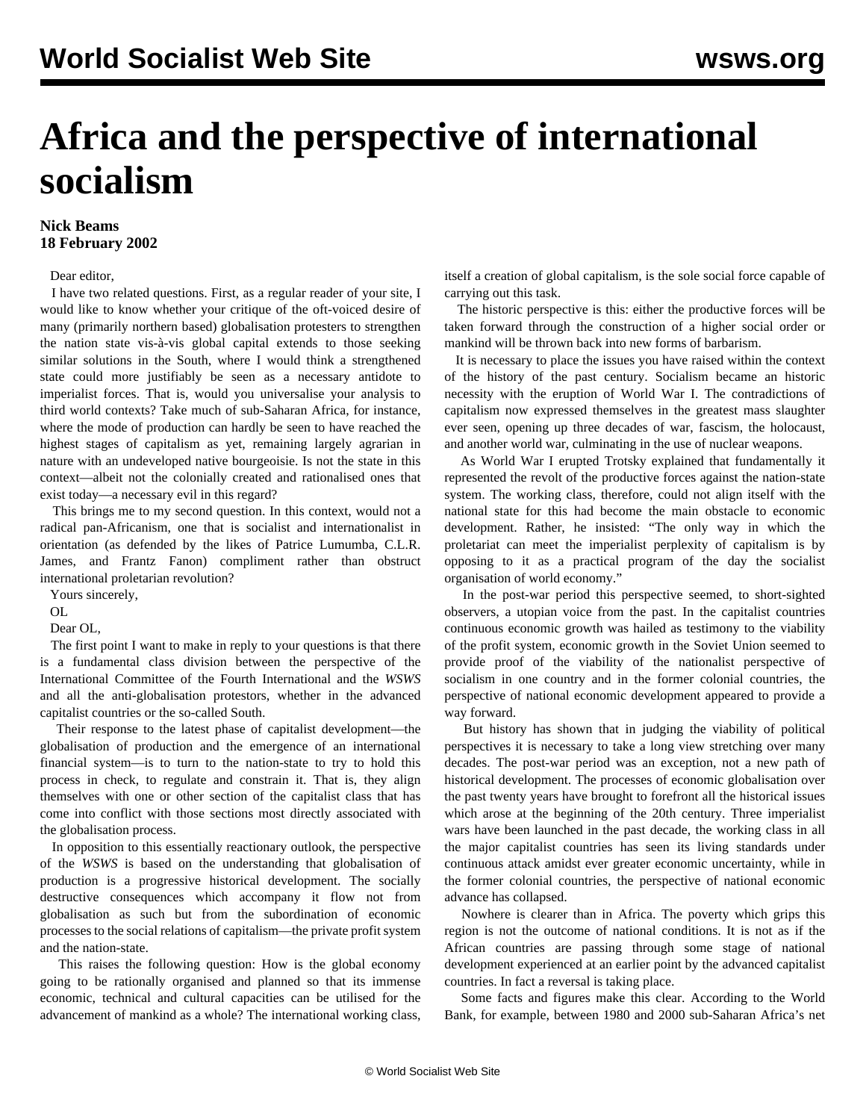## **Africa and the perspective of international socialism**

## **Nick Beams 18 February 2002**

## Dear editor,

 I have two related questions. First, as a regular reader of your site, I would like to know whether your critique of the oft-voiced desire of many (primarily northern based) globalisation protesters to strengthen the nation state vis-à-vis global capital extends to those seeking similar solutions in the South, where I would think a strengthened state could more justifiably be seen as a necessary antidote to imperialist forces. That is, would you universalise your analysis to third world contexts? Take much of sub-Saharan Africa, for instance, where the mode of production can hardly be seen to have reached the highest stages of capitalism as yet, remaining largely agrarian in nature with an undeveloped native bourgeoisie. Is not the state in this context—albeit not the colonially created and rationalised ones that exist today—a necessary evil in this regard?

 This brings me to my second question. In this context, would not a radical pan-Africanism, one that is socialist and internationalist in orientation (as defended by the likes of Patrice Lumumba, C.L.R. James, and Frantz Fanon) compliment rather than obstruct international proletarian revolution?

Yours sincerely,

OL

Dear OL,

 The first point I want to make in reply to your questions is that there is a fundamental class division between the perspective of the International Committee of the Fourth International and the *WSWS* and all the anti-globalisation protestors, whether in the advanced capitalist countries or the so-called South.

 Their response to the latest phase of capitalist development—the globalisation of production and the emergence of an international financial system—is to turn to the nation-state to try to hold this process in check, to regulate and constrain it. That is, they align themselves with one or other section of the capitalist class that has come into conflict with those sections most directly associated with the globalisation process.

 In opposition to this essentially reactionary outlook, the perspective of the *WSWS* is based on the understanding that globalisation of production is a progressive historical development. The socially destructive consequences which accompany it flow not from globalisation as such but from the subordination of economic processes to the social relations of capitalism—the private profit system and the nation-state.

 This raises the following question: How is the global economy going to be rationally organised and planned so that its immense economic, technical and cultural capacities can be utilised for the advancement of mankind as a whole? The international working class, itself a creation of global capitalism, is the sole social force capable of carrying out this task.

 The historic perspective is this: either the productive forces will be taken forward through the construction of a higher social order or mankind will be thrown back into new forms of barbarism.

 It is necessary to place the issues you have raised within the context of the history of the past century. Socialism became an historic necessity with the eruption of World War I. The contradictions of capitalism now expressed themselves in the greatest mass slaughter ever seen, opening up three decades of war, fascism, the holocaust, and another world war, culminating in the use of nuclear weapons.

 As World War I erupted Trotsky explained that fundamentally it represented the revolt of the productive forces against the nation-state system. The working class, therefore, could not align itself with the national state for this had become the main obstacle to economic development. Rather, he insisted: "The only way in which the proletariat can meet the imperialist perplexity of capitalism is by opposing to it as a practical program of the day the socialist organisation of world economy."

 In the post-war period this perspective seemed, to short-sighted observers, a utopian voice from the past. In the capitalist countries continuous economic growth was hailed as testimony to the viability of the profit system, economic growth in the Soviet Union seemed to provide proof of the viability of the nationalist perspective of socialism in one country and in the former colonial countries, the perspective of national economic development appeared to provide a way forward.

 But history has shown that in judging the viability of political perspectives it is necessary to take a long view stretching over many decades. The post-war period was an exception, not a new path of historical development. The processes of economic globalisation over the past twenty years have brought to forefront all the historical issues which arose at the beginning of the 20th century. Three imperialist wars have been launched in the past decade, the working class in all the major capitalist countries has seen its living standards under continuous attack amidst ever greater economic uncertainty, while in the former colonial countries, the perspective of national economic advance has collapsed.

 Nowhere is clearer than in Africa. The poverty which grips this region is not the outcome of national conditions. It is not as if the African countries are passing through some stage of national development experienced at an earlier point by the advanced capitalist countries. In fact a reversal is taking place.

 Some facts and figures make this clear. According to the World Bank, for example, between 1980 and 2000 sub-Saharan Africa's net